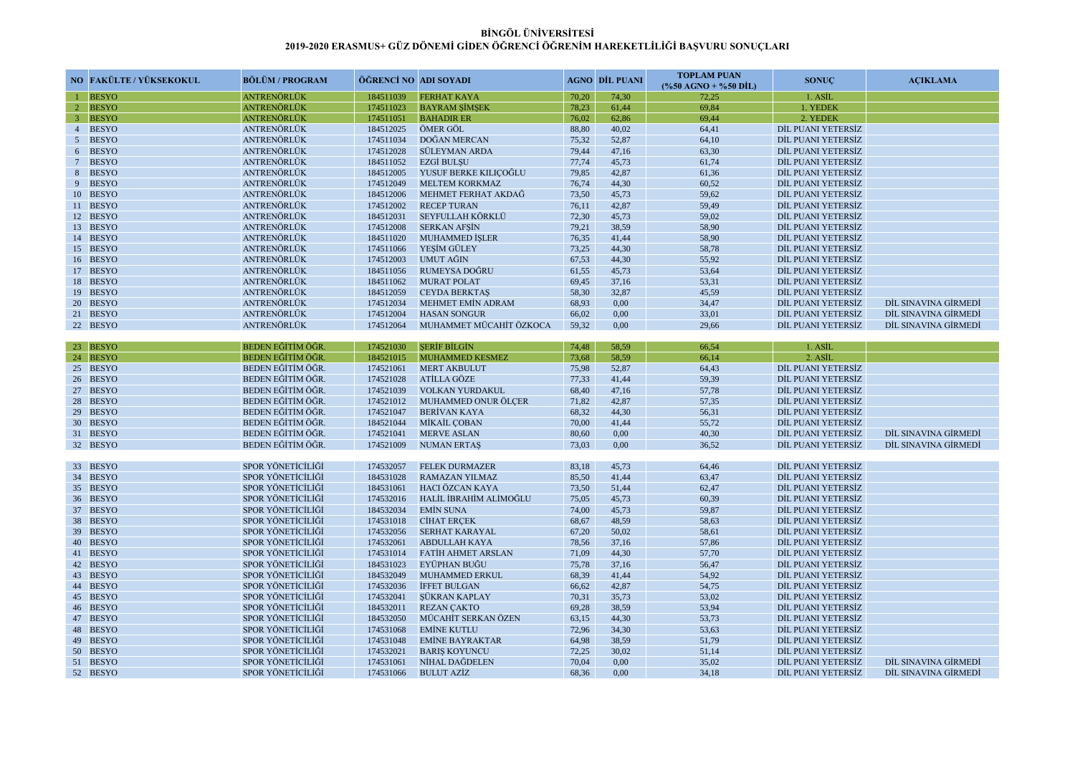| NO FAKÜLTE / YÜKSEKOKUL | <b>BÖLÜM / PROGRAM</b>   | ÖĞRENCİ NO ADI SOYADI |                           |       | <b>AGNO DİL PUANI</b> | <b>TOPLAM PUAN</b><br>$(*650 AGNO + %50 DIL)$ | <b>SONUC</b>       | <b>ACIKLAMA</b>      |
|-------------------------|--------------------------|-----------------------|---------------------------|-------|-----------------------|-----------------------------------------------|--------------------|----------------------|
| <b>BESYO</b>            | ANTRENÖRLÜK              | 184511039             | <b>FERHAT KAYA</b>        | 70,20 | 74,30                 | 72,25                                         | 1. ASİL            |                      |
| 2 BESYO                 | ANTRENÖRLÜK              | 174511023             | <b>BAYRAM SIMSEK</b>      | 78,23 | 61,44                 | 69,84                                         | 1. YEDEK           |                      |
| 3 BESYO                 | ANTRENÖRLÜK              | 174511051             | <b>BAHADIR ER</b>         | 76,02 | 62,86                 | 69,44                                         | 2. YEDEK           |                      |
| 4 BESYO                 | <b>ANTRENÖRLÜK</b>       | 184512025             | ÖMER GÖL                  | 88,80 | 40,02                 | 64,41                                         | DİL PUANI YETERSİZ |                      |
| 5 BESYO                 | ANTRENÖRLÜK              | 174511034             | DOĞAN MERCAN              | 75,32 | 52,87                 | 64,10                                         | DİL PUANI YETERSİZ |                      |
| 6 BESYO                 | <b>ANTRENÖRLÜK</b>       | 174512028             | <b>SÜLEYMAN ARDA</b>      | 79,44 | 47,16                 | 63,30                                         | DİL PUANI YETERSİZ |                      |
| 7 BESYO                 | ANTRENÖRLÜK              | 184511052             | <b>EZGI BULSU</b>         | 77,74 | 45,73                 | 61,74                                         | DİL PUANI YETERSİZ |                      |
| 8 BESYO                 | ANTRENÖRLÜK              | 184512005             | YUSUF BERKE KILIÇOĞLU     | 79,85 | 42,87                 | 61,36                                         | DIL PUANI YETERSIZ |                      |
| 9 BESYO                 | <b>ANTRENÖRLÜK</b>       | 174512049             | <b>MELTEM KORKMAZ</b>     | 76,74 | 44,30                 | 60,52                                         | DİL PUANI YETERSİZ |                      |
| 10 BESYO                | ANTRENÖRLÜK              | 184512006             | MEHMET FERHAT AKDAĞ       | 73,50 | 45,73                 | 59,62                                         | DİL PUANI YETERSİZ |                      |
| 11 BESYO                | ANTRENÖRLÜK              | 174512002             | <b>RECEP TURAN</b>        | 76,11 | 42,87                 | 59,49                                         | DIL PUANI YETERSIZ |                      |
| 12 BESYO                | <b>ANTRENÖRLÜK</b>       | 184512031             | SEYFULLAH KÖRKLÜ          | 72,30 | 45,73                 | 59,02                                         | DİL PUANI YETERSİZ |                      |
| 13 BESYO                | ANTRENÖRLÜK              | 174512008             | <b>SERKAN AFSIN</b>       | 79,21 | 38,59                 | 58,90                                         | DİL PUANI YETERSİZ |                      |
| 14 BESYO                | ANTRENÖRLÜK              | 184511020             | MUHAMMED İŞLER            | 76,35 | 41,44                 | 58,90                                         | DIL PUANI YETERSIZ |                      |
| 15 BESYO                | <b>ANTRENÖRLÜK</b>       | 174511066             | YESİM GÜLEY               | 73,25 | 44,30                 | 58,78                                         | DİL PUANI YETERSİZ |                      |
| 16 BESYO                | ANTRENÖRLÜK              | 174512003             | UMUT AĞIN                 | 67,53 | 44,30                 | 55,92                                         | DİL PUANI YETERSİZ |                      |
| 17 BESYO                | ANTRENÖRLÜK              | 184511056             | RUMEYSA DOĞRU             | 61,55 | 45,73                 | 53,64                                         | DIL PUANI YETERSIZ |                      |
| 18 BESYO                | ANTRENÖRLÜK              | 184511062             | <b>MURAT POLAT</b>        | 69,45 | 37,16                 | 53,31                                         | DIL PUANI YETERSIZ |                      |
| 19 BESYO                | <b>ANTRENÖRLÜK</b>       | 184512059             | <b>CEYDA BERKTAS</b>      | 58,30 | 32,87                 | 45,59                                         | DİL PUANI YETERSİZ |                      |
| 20 BESYO                | ANTRENÖRLÜK              | 174512034             | <b>MEHMET EMIN ADRAM</b>  | 68,93 | 0,00                  | 34,47                                         | DIL PUANI YETERSIZ | DIL SINAVINA GİRMEDI |
| 21 BESYO                | <b>ANTRENÖRLÜK</b>       | 174512004             | <b>HASAN SONGUR</b>       | 66,02 | 0,00                  | 33,01                                         | DIL PUANI YETERSIZ | DIL SINAVINA GIRMEDI |
| 22 BESYO                | ANTRENÖRLÜK              | 174512064             | MUHAMMET MÜCAHİT ÖZKOCA   | 59,32 | 0,00                  | 29,66                                         | DİL PUANI YETERSİZ | DİL SINAVINA GİRMEDİ |
|                         |                          |                       |                           |       |                       |                                               |                    |                      |
| 23 BESYO                | BEDEN EĞİTİM ÖĞR         | 174521030             | <b>SERIF BILGIN</b>       | 74,48 | 58,59                 | 66,54                                         | 1. ASIL            |                      |
| 24 BESYO                | <b>BEDEN EĞİTİM ÖĞR</b>  | 184521015             | <b>MUHAMMED KESMEZ</b>    | 73,68 | 58,59                 | 66,14                                         | 2. ASİL            |                      |
| 25 BESYO                | BEDEN EĞİTİM ÖĞR         | 174521061             | <b>MERT AKBULUT</b>       | 75,98 | 52,87                 | 64,43                                         | DİL PUANI YETERSİZ |                      |
| 26 BESYO                | BEDEN EĞİTİM ÖĞR         | 174521028             | <b>ATİLLA GÖZE</b>        | 77,33 | 41,44                 | 59,39                                         | DİL PUANI YETERSİZ |                      |
| 27 BESYO                | BEDEN EĞİTİM ÖĞR         | 174521039             | <b>VOLKAN YURDAKUL</b>    | 68,40 | 47,16                 | 57,78                                         | DİL PUANI YETERSİZ |                      |
| 28 BESYO                | BEDEN EĞİTİM ÖĞR         | 174521012             | MUHAMMED ONUR ÖLÇER       | 71,82 | 42,87                 | 57,35                                         | DİL PUANI YETERSİZ |                      |
| 29 BESYO                | BEDEN EĞİTİM ÖĞR         | 174521047             | <b>BERİVAN KAYA</b>       | 68,32 | 44,30                 | 56,31                                         | DIL PUANI YETERSIZ |                      |
| 30 BESYO                | BEDEN EĞİTİM ÖĞR         | 184521044             | MİKAİL ÇOBAN              | 70,00 | 41,44                 | 55,72                                         | DİL PUANI YETERSİZ |                      |
| 31 BESYO                | BEDEN EĞİTİM ÖĞR.        | 174521041             | <b>MERVE ASLAN</b>        | 80,60 | 0,00                  | 40,30                                         | DİL PUANI YETERSİZ | DİL SINAVINA GİRMEDİ |
| 32 BESYO                | BEDEN EĞİTİM ÖĞR         | 174521009             | <b>NUMAN ERTAS</b>        | 73,03 | 0,00                  | 36,52                                         | DİL PUANI YETERSİZ | DİL SINAVINA GİRMEDİ |
|                         |                          |                       |                           |       |                       |                                               |                    |                      |
| 33 BESYO                | SPOR YÖNETİCİLIĞİ        | 174532057             | <b>FELEK DURMAZER</b>     | 83,18 | 45,73                 | 64,46                                         | DIL PUANI YETERSİZ |                      |
| 34 BESYO                | SPOR YÖNETİCİLİĞİ        | 184531028             | <b>RAMAZAN YILMAZ</b>     | 85,50 | 41,44                 | 63,47                                         | DİL PUANI YETERSİZ |                      |
| 35 BESYO                | <b>SPOR YÖNETİCİLİĞİ</b> | 184531061             | HACI ÖZCAN KAYA           | 73,50 | 51,44                 | 62,47                                         | DİL PUANI YETERSİZ |                      |
| 36 BESYO                | SPOR YÖNETİCİLIĞİ        | 174532016             | HALİL İBRAHİM ALİMOĞLU    | 75,05 | 45,73                 | 60,39                                         | DIL PUANI YETERSIZ |                      |
| 37 BESYO                | SPOR YÖNETİCİLİĞİ        | 184532034             | <b>EMIN SUNA</b>          | 74,00 | 45,73                 | 59,87                                         | DİL PUANI YETERSİZ |                      |
| 38 BESYO                | <b>SPOR YÖNETİCİLİĞİ</b> | 174531018             | <b>CİHAT ERCEK</b>        | 68,67 | 48,59                 | 58,63                                         | DİL PUANI YETERSİZ |                      |
| 39 BESYO                | SPOR YÖNETİCİLİĞİ        | 174532056             | <b>SERHAT KARAYAL</b>     | 67,20 | 50,02                 | 58,61                                         | DİL PUANI YETERSİZ |                      |
| 40 BESYO                | SPOR YÖNETİCİLİĞİ        | 174532061             | <b>ABDULLAH KAYA</b>      | 78,56 | 37,16                 | 57,86                                         | DİL PUANI YETERSİZ |                      |
| 41 BESYO                | <b>SPOR YÖNETİCİLİĞİ</b> | 174531014             | <b>FATIH AHMET ARSLAN</b> | 71,09 | 44,30                 | 57,70                                         | DİL PUANI YETERSİZ |                      |
| 42 BESYO                | SPOR YÖNETİCİLİĞİ        | 184531023             | EYÜPHAN BUĞU              | 75,78 | 37,16                 | 56,47                                         | DİL PUANI YETERSİZ |                      |
| 43 BESYO                | SPOR YÖNETİCİLİĞİ        | 184532049             | <b>MUHAMMED ERKUL</b>     | 68,39 | 41,44                 | 54,92                                         | DİL PUANI YETERSİZ |                      |
| 44 BESYO                | <b>SPOR YÖNETİCİLİĞİ</b> | 174532036             | İFFET BULGAN              | 66,62 | 42,87                 | 54,75                                         | DİL PUANI YETERSİZ |                      |
| 45 BESYO                | SPOR YÖNETİCİLİĞİ        | 174532041             | SÜKRAN KAPLAY             | 70,31 | 35,73                 | 53,02                                         | DİL PUANI YETERSİZ |                      |
| 46 BESYO                | SPOR YÖNETİCİLİĞİ        | 184532011             | <b>REZAN ÇAKTO</b>        | 69,28 | 38,59                 | 53,94                                         | DİL PUANI YETERSİZ |                      |
| 47 BESYO                | <b>SPOR YÖNETİCİLİĞİ</b> | 184532050             | MÜCAHİT SERKAN ÖZEN       | 63,15 | 44,30                 | 53,73                                         | DIL PUANI YETERSİZ |                      |
| 48 BESYO                | SPOR YÖNETİCİLİĞİ        | 174531068             | <b>EMİNE KUTLU</b>        | 72,96 | 34,30                 | 53,63                                         | DİL PUANI YETERSİZ |                      |
| 49 BESYO                | SPOR YÖNETİCİLİĞİ        | 174531048             | <b>EMİNE BAYRAKTAR</b>    | 64,98 | 38,59                 | 51,79                                         | DİL PUANI YETERSİZ |                      |
| 50 BESYO                | SPOR YÖNETİCİLİĞİ        | 174532021             | <b>BARIS KOYUNCU</b>      | 72,25 | 30,02                 | 51,14                                         | DIL PUANI YETERSİZ |                      |
| 51 BESYO                | SPOR YÖNETİCİLİĞİ        | 174531061             | NİHAL DAĞDELEN            | 70,04 | 0,00                  | 35,02                                         | DIL PUANI YETERSIZ | DİL SINAVINA GİRMEDİ |
| 52 BESYO                | SPOR YÖNETİCİLİĞİ        | 174531066             | <b>BULUT AZİZ</b>         | 68,36 | 0,00                  | 34,18                                         | DİL PUANI YETERSİZ | DİL SINAVINA GİRMEDİ |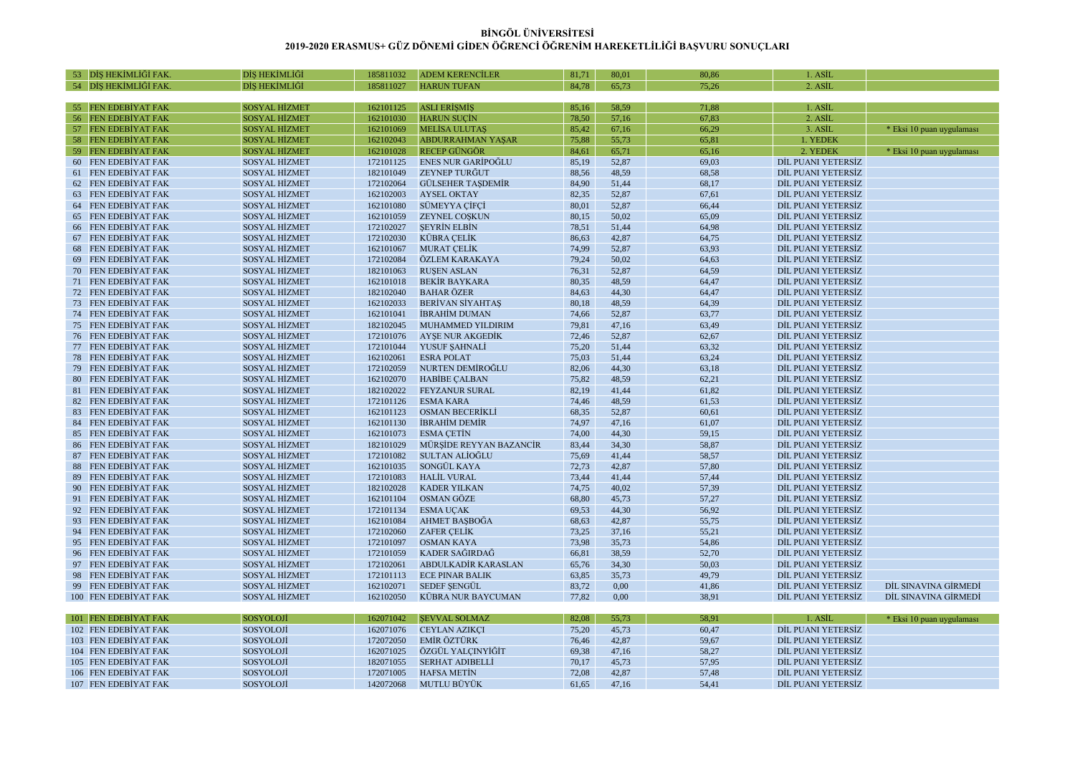| 53 DİS HEKİMLİĞİ FAK                       | DİS HEKİMLİĞİ                         | 185811032              | <b>ADEM KERENCİLER</b>        | 81,71          | 80,01          | 80,86          | 1. ASIL                                  |                           |
|--------------------------------------------|---------------------------------------|------------------------|-------------------------------|----------------|----------------|----------------|------------------------------------------|---------------------------|
| – 54 – DİS HEKİMLİĞİ FAK                   | DİS HEKİMLİĞİ                         | 185811027              | <b>HARUN TUFAN</b>            | 84.78          | 65.73          | 75.26          | 2. ASIL                                  |                           |
|                                            |                                       |                        |                               |                |                |                |                                          |                           |
| 55 FEN EDEBİYAT FAK                        | <b>SOSYAL HİZMET</b>                  | 162101125              | <b>ASLI ERISMIS</b>           | 85,16          | 58,59          | 71,88          | 1. ASİL                                  |                           |
| 56 FEN EDEBİYAT FAK                        | <b>SOSYAL HİZMET</b>                  | 162101030              | <b>HARUN SUCIN</b>            | 78,50          | 57,16          | 67,83          | 2. ASİL                                  |                           |
| <b>FEN EDEBIYAT FAK</b><br>57              | <b>SOSYAL HİZMET</b>                  | 162101069              | <b>MELİSA ULUTAS</b>          | 85.42          | 67,16          | 66,29          | 3. ASİL                                  | * Eksi 10 puan uygulaması |
| 58 FEN EDEBIYAT FAK                        | <b>SOSYAL HİZMET</b>                  | 162102043              | <b>ABDURRAHMAN YAŞAR</b>      | 75,88          | 55,73          | 65,81          | 1. YEDEK                                 |                           |
| 59 FEN EDEBİYAT FAK                        | <b>SOSYAL HİZMET</b>                  | 162101028              | <b>RECEP GÜNGÖR</b>           | 84,61          | 65,71          | 65,16          | 2. YEDEK                                 | * Eksi 10 puan uygulaması |
| 60 FEN EDEBİYAT FAK                        | <b>SOSYAL HİZMET</b>                  | 172101125              | <b>ENES NUR GARIPOĞLU</b>     | 85,19          | 52,87          | 69,03          | DİL PUANI YETERSİZ                       |                           |
| 61 FEN EDEBIYAT FAK                        | <b>SOSYAL HİZMET</b>                  | 182101049              | <b>ZEYNEP TURĞUT</b>          | 88,56          | 48,59          | 68,58          | DİL PUANI YETERSİZ                       |                           |
| 62 FEN EDEBİYAT FAK                        | <b>SOSYAL HİZMET</b>                  | 172102064              | <b>GÜLSEHER TASDEMİR</b>      | 84,90          | 51,44          | 68,17          | DİL PUANI YETERSİZ                       |                           |
| 63 FEN EDEBİYAT FAK                        | <b>SOSYAL HİZMET</b>                  | 162102003              | <b>AYSEL OKTAY</b>            | 82,35          | 52,87          | 67,61          | DİL PUANI YETERSİZ                       |                           |
| 64<br><b>FEN EDEBIYAT FAK</b>              | <b>SOSYAL HİZMET</b>                  | 162101080              | SÜMEYYA CİFCİ                 | 80,01          | 52,87          | 66,44          | DİL PUANI YETERSİZ                       |                           |
| 65 FEN EDEBIYAT FAK                        | <b>SOSYAL HİZMET</b>                  | 162101059              | ZEYNEL COŞKUN                 | 80,15          | 50,02          | 65,09          | DIL PUANI YETERSİZ                       |                           |
| 66 FEN EDEBİYAT FAK                        | <b>SOSYAL HİZMET</b>                  | 172102027              | <b>SEYRIN ELBIN</b>           | 78,51          | 51,44          | 64,98          | DİL PUANI YETERSİZ                       |                           |
| 67 FEN EDEBİYAT FAK                        | <b>SOSYAL HİZMET</b>                  | 172102030              | <b>KÜBRA CELİK</b>            | 86,63          | 42,87          | 64,75          | DİL PUANI YETERSİZ                       |                           |
| 68 FEN EDEBİYAT FAK                        | <b>SOSYAL HİZMET</b>                  | 162101067              | <b>MURAT CELIK</b>            | 74,99          | 52,87          | 63,93          | DİL PUANI YETERSİZ                       |                           |
| 69 FEN EDEBIYAT FAK                        | <b>SOSYAL HİZMET</b>                  | 172102084              | ÖZLEM KARAKAYA                | 79,24          | 50,02          | 64,63          | DİL PUANI YETERSİZ                       |                           |
| 70 FEN EDEBİYAT FAK                        | <b>SOSYAL HİZMET</b>                  | 182101063              | <b>RUSEN ASLAN</b>            | 76,31          | 52,87          | 64,59          | DİL PUANI YETERSİZ                       |                           |
| 71 FEN EDEBİYAT FAK                        | <b>SOSYAL HİZMET</b>                  | 162101018              | <b>BEKİR BAYKARA</b>          | 80,35          | 48,59          | 64,47          | DİL PUANI YETERSİZ                       |                           |
| 72 FEN EDEBIYAT FAK                        | <b>SOSYAL HİZMET</b>                  | 182102040              | <b>BAHAR ÖZER</b>             | 84,63          | 44,30          | 64,47          | DIL PUANI YETERSİZ                       |                           |
| 73 FEN EDEBIYAT FAK                        | SOSYAL HİZMET                         | 162102033              | <b>BERIVAN SIYAHTAŞ</b>       | 80,18          | 48,59          | 64,39          | DİL PUANI YETERSİZ                       |                           |
| 74 FEN EDEBİYAT FAK                        | <b>SOSYAL HİZMET</b>                  | 162101041              | <b>İBRAHİM DUMAN</b>          | 74,66          | 52,87          | 63,77          | DİL PUANI YETERSİZ                       |                           |
| 75 FEN EDEBİYAT FAK                        | <b>SOSYAL HİZMET</b>                  | 182102045              | MUHAMMED YILDIRIM             | 79,81          | 47,16          | 63,49          | DİL PUANI YETERSİZ                       |                           |
| 76 FEN EDEBIYAT FAK                        | <b>SOSYAL HİZMET</b>                  | 172101076              | <b>AYSE NUR AKGEDİK</b>       | 72,46          | 52,87          | 62,67          | DİL PUANI YETERSİZ                       |                           |
| 77 FEN EDEBİYAT FAK                        | <b>SOSYAL HİZMET</b>                  | 172101044              | YUSUF ŞAHNALİ                 | 75,20          | 51,44          | 63,32          | DİL PUANI YETERSİZ                       |                           |
| 78 FEN EDEBİYAT FAK                        | <b>SOSYAL HİZMET</b>                  | 162102061              | <b>ESRA POLAT</b>             | 75,03          | 51,44          | 63,24          | DİL PUANI YETERSİZ                       |                           |
| 79 FEN EDEBİYAT FAK                        | <b>SOSYAL HİZMET</b>                  | 172102059              | NURTEN DEMİROĞLU              | 82,06          | 44,30          | 63,18          | DİL PUANI YETERSİZ                       |                           |
| 80 FEN EDEBIYAT FAK                        | <b>SOSYAL HİZMET</b>                  | 162102070              | <b>HABİBE ÇALBAN</b>          | 75,82          | 48,59          | 62,21          | DİL PUANI YETERSİZ                       |                           |
| 81 FEN EDEBİYAT FAK                        | <b>SOSYAL HİZMET</b>                  | 182102022              | FEYZANUR SURAL                | 82.19          | 41.44          | 61,82          | DİL PUANI YETERSİZ                       |                           |
| 82 FEN EDEBİYAT FAK                        | <b>SOSYAL HİZMET</b>                  | 172101126              | <b>ESMA KARA</b>              | 74,46          | 48,59          | 61,53          | DİL PUANI YETERSİZ                       |                           |
| 83 FEN EDEBİYAT FAK                        | <b>SOSYAL HİZMET</b>                  | 162101123              | <b>OSMAN BECERIKLI</b>        | 68,35          | 52,87          | 60,61          | DİL PUANI YETERSİZ                       |                           |
| 84 FEN EDEBIYAT FAK                        | SOSYAL HİZMET                         | 162101130              | <b>İBRAHİM DEMİR</b>          | 74,97<br>74,00 | 47,16          | 61,07          | DİL PUANI YETERSİZ                       |                           |
| 85 FEN EDEBİYAT FAK                        | <b>SOSYAL HİZMET</b>                  | 162101073              | <b>ESMA CETIN</b>             |                | 44,30          | 59,15          | DİL PUANI YETERSİZ                       |                           |
| 86 FEN EDEBİYAT FAK                        | <b>SOSYAL HİZMET</b>                  | 182101029              | MÜRSİDE REYYAN BAZANCİR       | 83,44          | 34,30          | 58,87          | DİL PUANI YETERSİZ                       |                           |
| <b>FEN EDEBİYAT FAK</b><br>87              | <b>SOSYAL HİZMET</b>                  | 172101082<br>162101035 | SULTAN ALIOĞLU<br>SONGÜL KAYA | 75,69<br>72,73 | 41,44<br>42,87 | 58,57<br>57,80 | DİL PUANI YETERSİZ                       |                           |
| 88 FEN EDEBIYAT FAK<br>89 FEN EDEBİYAT FAK | SOSYAL HİZMET<br><b>SOSYAL HİZMET</b> | 172101083              | <b>HALİL VURAL</b>            | 73,44          | 41,44          | 57,44          | DİL PUANI YETERSİZ<br>DİL PUANI YETERSİZ |                           |
| <b>FEN EDEBIYAT FAK</b><br>90              | <b>SOSYAL HİZMET</b>                  | 182102028              | <b>KADER YILKAN</b>           | 74,75          | 40,02          | 57,39          | DİL PUANI YETERSİZ                       |                           |
| 91 FEN EDEBIYAT FAK                        | SOSYAL HİZMET                         | 162101104              | <b>OSMAN GÖZE</b>             | 68,80          | 45,73          | 57,27          | DİL PUANI YETERSİZ                       |                           |
| 92 FEN EDEBİYAT FAK                        | <b>SOSYAL HİZMET</b>                  | 172101134              | <b>ESMA UÇAK</b>              | 69,53          | 44,30          | 56,92          | DİL PUANI YETERSİZ                       |                           |
| 93 FEN EDEBİYAT FAK                        | <b>SOSYAL HİZMET</b>                  | 162101084              | AHMET BASBOĞA                 | 68,63          | 42,87          | 55,75          | DİL PUANI YETERSİZ                       |                           |
| 94 FEN EDEBİYAT FAK                        | <b>SOSYAL HİZMET</b>                  | 172102060              | <b>ZAFER CELIK</b>            | 73,25          | 37,16          | 55,21          | DİL PUANI YETERSİZ                       |                           |
| 95 FEN EDEBIYAT FAK                        | SOSYAL HİZMET                         | 172101097              | <b>OSMAN KAYA</b>             | 73,98          | 35,73          | 54,86          | DİL PUANI YETERSİZ                       |                           |
| 96 FEN EDEBİYAT FAK                        | <b>SOSYAL HİZMET</b>                  | 172101059              | KADER SAĞIRDAĞ                | 66,81          | 38,59          | 52,70          | DİL PUANI YETERSİZ                       |                           |
| 97 FEN EDEBİYAT FAK                        | <b>SOSYAL HİZMET</b>                  | 172102061              | <b>ABDULKADİR KARASLAN</b>    | 65,76          | 34,30          | 50,03          | DİL PUANI YETERSİZ                       |                           |
| 98 FEN EDEBIYAT FAK                        | <b>SOSYAL HİZMET</b>                  | 172101113              | <b>ECE PINAR BALIK</b>        | 63,85          | 35,73          | 49,79          | DİL PUANI YETERSİZ                       |                           |
| 99 FEN EDEBIYAT FAK                        | SOSYAL HİZMET                         | 162102071              | <b>SEDEF SENGÜL</b>           | 83,72          | 0,00           | 41,86          | DİL PUANI YETERSİZ                       | DIL SINAVINA GİRMEDI      |
| 100 FEN EDEBİYAT FAK                       | <b>SOSYAL HİZMET</b>                  | 162102050              | <b>KÜBRA NUR BAYCUMAN</b>     | 77,82          | 0,00           | 38,91          | DİL PUANI YETERSİZ                       | DİL SINAVINA GİRMEDİ      |
|                                            |                                       |                        |                               |                |                |                |                                          |                           |
| 101 FEN EDEBIYAT FAK                       | SOSYOLOJI                             | 162071042              | <b>SEVVAL SOLMAZ</b>          | 82,08          | 55,73          | 58,91          | 1. ASII                                  | * Eksi 10 puan uygulaması |
| 102 FEN EDEBIYAT FAK                       | SOSYOLOJI                             | 162071076              | <b>CEYLAN AZIKÇI</b>          | 75,20          | 45,73          | 60,47          | DİL PUANI YETERSİZ                       |                           |
| 103 FEN EDEBİYAT FAK                       | SOSYOLOJİ                             | 172072050              | <b>EMİR ÖZTÜRK</b>            | 76,46          | 42,87          | 59,67          | DİL PUANI YETERSİZ                       |                           |
| 104 FEN EDEBİYAT FAK                       | SOSYOLOJİ                             | 162071025              | ÖZGÜL YALÇINYİĞİT             | 69,38          | 47,16          | 58,27          | DİL PUANI YETERSİZ                       |                           |
| 105 FEN EDEBIYAT FAK                       | SOSYOLOJI                             | 182071055              | <b>SERHAT ADIBELLI</b>        | 70,17          | 45,73          | 57,95          | DİL PUANI YETERSİZ                       |                           |
| 106 FEN EDEBİYAT FAK                       | SOSYOLOJİ                             | 172071005              | <b>HAFSA METIN</b>            | 72,08          | 42,87          | 57,48          | DİL PUANI YETERSİZ                       |                           |
| 107 FEN EDEBİYAT FAK                       | SOSYOLOJİ                             | 142072068              | MUTLU BÜYÜK                   | 61,65          | 47,16          | 54,41          | DİL PUANI YETERSİZ                       |                           |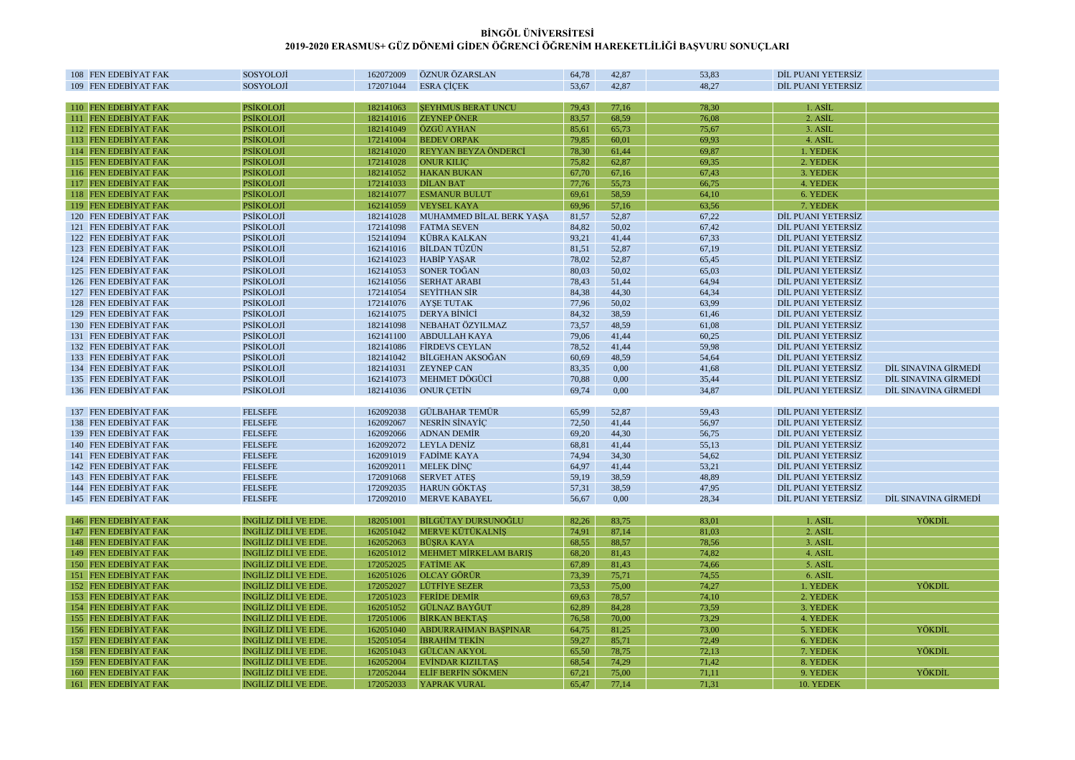| 108 FEN EDEBIYAT FAK | <b>SOSYOLOJİ</b>           | 162072009 | ÖZNUR ÖZARSLAN               | 64,78 | 42,87 | 53,83 | DİL PUANI YETERSİZ |                      |
|----------------------|----------------------------|-----------|------------------------------|-------|-------|-------|--------------------|----------------------|
| 109 FEN EDEBIYAT FAK | SOSYOLOJİ                  | 172071044 | <b>ESRA CİCEK</b>            | 53,67 | 42,87 | 48,27 | DIL PUANI YETERSIZ |                      |
|                      |                            |           |                              |       |       |       |                    |                      |
| 110 FEN EDEBİYAT FAK | <b>PSİKOLOJİ</b>           | 182141063 | <b>SEYHMUS BERAT UNCU</b>    | 79,43 | 77,16 | 78,30 | 1. ASİL            |                      |
| 111 FEN EDEBİYAT FAK | <b>PSİKOLOJİ</b>           | 182141016 | <b>ZEYNEP ÖNER</b>           | 83,57 | 68,59 | 76,08 | 2. ASİL            |                      |
| 112 FEN EDEBİYAT FAK | <b>PSİKOLOJİ</b>           | 182141049 | ÖZGÜ AYHAN                   | 85,61 | 65,73 | 75,67 | 3. ASİL            |                      |
| 113 FEN EDEBİYAT FAK | <b>PSİKOLOJİ</b>           | 172141004 | <b>BEDEV ORPAK</b>           | 79,85 | 60,01 | 69,93 | 4. ASİL            |                      |
| 114 FEN EDEBİYAT FAK | <b>PSİKOLOJİ</b>           | 182141020 | REYYAN BEYZA ÖNDERCİ         | 78,30 | 61,44 | 69,87 | 1. YEDEK           |                      |
| 115 FEN EDEBİYAT FAK | <b>PSİKOLOJİ</b>           | 172141028 | <b>ONUR KILIC</b>            | 75,82 | 62,87 | 69,35 | 2. YEDEK           |                      |
| 116 FEN EDEBIYAT FAK | <b>PSIKOLOJI</b>           | 182141052 | <b>HAKAN BUKAN</b>           | 67,70 | 67,16 | 67,43 | 3. YEDEK           |                      |
| 117 FEN EDEBİYAT FAK | <b>PSİKOLOJİ</b>           | 172141033 | <b>DİLAN BAT</b>             | 77,76 | 55,73 | 66,75 | 4. YEDEK           |                      |
| 118 FEN EDEBİYAT FAK | <b>PSİKOLOJİ</b>           | 182141077 | <b>ESMANUR BULUT</b>         | 69,61 | 58,59 | 64,10 | 6. YEDEK           |                      |
| 119 FEN EDEBIYAT FAK | <b>PSİKOLOJİ</b>           | 162141059 | <b>VEYSEL KAYA</b>           | 69,96 | 57,16 | 63,56 | 7. YEDEK           |                      |
| 120 FEN EDEBIYAT FAK | <b>PSİKOLOJİ</b>           | 182141028 | MUHAMMED BİLAL BERK YAŞA     | 81,57 | 52.87 | 67,22 | DİL PUANI YETERSİZ |                      |
| 121 FEN EDEBİYAT FAK | <b>PSİKOLOJİ</b>           | 172141098 | <b>FATMA SEVEN</b>           | 84,82 | 50,02 | 67,42 | DİL PUANI YETERSİZ |                      |
| 122 FEN EDEBİYAT FAK | <b>PSİKOLOJİ</b>           | 152141094 | KÜBRA KALKAN                 | 93,21 | 41,44 | 67,33 | DİL PUANI YETERSİZ |                      |
| 123 FEN EDEBIYAT FAK | <b>PSIKOLOJI</b>           | 162141016 | <b>BİLDAN TÜZÜN</b>          | 81,51 | 52,87 | 67,19 | DİL PUANI YETERSİZ |                      |
| 124 FEN EDEBİYAT FAK | PSİKOLOJİ                  | 162141023 | <b>HABİP YASAR</b>           | 78,02 | 52,87 | 65,45 | DİL PUANI YETERSİZ |                      |
| 125 FEN EDEBİYAT FAK | <b>PSİKOLOJİ</b>           | 162141053 | SONER TOĞAN                  | 80,03 | 50,02 | 65,03 | DİL PUANI YETERSİZ |                      |
| 126 FEN EDEBİYAT FAK | <b>PSİKOLOJİ</b>           | 162141056 | <b>SERHAT ARABI</b>          | 78,43 | 51,44 | 64,94 | DİL PUANI YETERSİZ |                      |
| 127 FEN EDEBIYAT FAK | <b>PSIKOLOJI</b>           | 172141054 | <b>SEYİTHAN SİR</b>          | 84,38 | 44,30 | 64,34 | DİL PUANI YETERSİZ |                      |
| 128 FEN EDEBIYAT FAK | <b>PSİKOLOJİ</b>           | 172141076 | <b>AYSE TUTAK</b>            | 77,96 | 50,02 | 63,99 | DİL PUANI YETERSİZ |                      |
| 129 FEN EDEBİYAT FAK | <b>PSİKOLOJİ</b>           | 162141075 | <b>DERYA BİNİCİ</b>          | 84,32 | 38,59 | 61,46 | DİL PUANI YETERSİZ |                      |
| 130 FEN EDEBİYAT FAK | <b>PSİKOLOJİ</b>           | 182141098 | NEBAHAT ÖZYILMAZ             | 73,57 | 48,59 | 61,08 | DİL PUANI YETERSİZ |                      |
| 131 FEN EDEBİYAT FAK | <b>PSİKOLOJİ</b>           | 162141100 | <b>ABDULLAH KAYA</b>         | 79,06 | 41,44 | 60,25 | DİL PUANI YETERSİZ |                      |
| 132 FEN EDEBIYAT FAK | PSİKOLOJİ                  | 182141086 | <b>FIRDEVS CEYLAN</b>        | 78,52 | 41,44 | 59,98 | DİL PUANI YETERSİZ |                      |
| 133 FEN EDEBİYAT FAK | <b>PSİKOLOJİ</b>           | 182141042 | BİLGEHAN AKSOĞAN             | 60,69 | 48,59 | 54,64 | DİL PUANI YETERSİZ |                      |
| 134 FEN EDEBIYAT FAK | <b>PSİKOLOJİ</b>           | 182141031 | <b>ZEYNEP CAN</b>            | 83,35 | 0,00  | 41,68 | DİL PUANI YETERSİZ | DİL SINAVINA GİRMEDİ |
| 135 FEN EDEBİYAT FAK | <b>PSİKOLOJİ</b>           | 162141073 | <b>MEHMET DÖGÜCİ</b>         | 70,88 | 0,00  | 35,44 | DİL PUANI YETERSİZ | DİL SINAVINA GİRMEDİ |
| 136 FEN EDEBİYAT FAK | PSİKOLOJİ                  | 182141036 | <b>ONUR CETIN</b>            | 69,74 | 0.00  | 34,87 | DİL PUANI YETERSİZ | DIL SINAVINA GIRMEDI |
|                      |                            |           |                              |       |       |       |                    |                      |
| 137 FEN EDEBIYAT FAK | <b>FELSEFE</b>             | 162092038 | <b>GÜLBAHAR TEMÜR</b>        | 65,99 | 52,87 | 59,43 | DİL PUANI YETERSİZ |                      |
| 138 FEN EDEBİYAT FAK | <b>FELSEFE</b>             | 162092067 | <b>NESRÍN SÍNAYÍC</b>        | 72,50 | 41,44 | 56,97 | DİL PUANI YETERSİZ |                      |
| 139 FEN EDEBİYAT FAK | <b>FELSEFE</b>             | 162092066 | <b>ADNAN DEMİR</b>           | 69,20 | 44,30 | 56,75 | DİL PUANI YETERSİZ |                      |
| 140 FEN EDEBIYAT FAK | <b>FELSEFE</b>             | 162092072 | <b>LEYLA DENİZ</b>           | 68,81 | 41,44 | 55,13 | DİL PUANI YETERSİZ |                      |
| 141 FEN EDEBIYAT FAK | <b>FELSEFE</b>             | 162091019 | <b>FADİME KAYA</b>           | 74,94 | 34,30 | 54,62 | DIL PUANI YETERSIZ |                      |
| 142 FEN EDEBİYAT FAK | <b>FELSEFE</b>             | 162092011 | <b>MELEK DİNC</b>            | 64,97 | 41,44 | 53,21 | DİL PUANI YETERSİZ |                      |
| 143 FEN EDEBIYAT FAK | <b>FELSEFE</b>             | 172091068 | <b>SERVET ATES</b>           | 59,19 | 38,59 | 48,89 | DİL PUANI YETERSİZ |                      |
| 144 FEN EDEBİYAT FAK | <b>FELSEFE</b>             | 172092035 | <b>HARUN GÖKTAŞ</b>          | 57,31 | 38,59 | 47,95 | DİL PUANI YETERSİZ |                      |
| 145 FEN EDEBİYAT FAK | <b>FELSEFE</b>             | 172092010 | <b>MERVE KABAYEL</b>         | 56,67 | 0,00  | 28.34 | DİL PUANI YETERSİZ | DİL SINAVINA GİRMEDİ |
|                      |                            |           |                              |       |       |       |                    |                      |
| 146 FEN EDEBİYAT FAK | INGILIZ DILI VE EDE        | 182051001 | BİLGÜTAY DURSUNOĞLU          | 82,26 | 83,75 | 83,01 | 1. ASİL            | YÖKDİL               |
| 147 FEN EDEBİYAT FAK | <b>INGILIZ DILI VE EDE</b> | 162051042 | <b>MERVE KÜTÜKALNİS</b>      | 74,91 | 87,14 | 81,03 | 2. ASIL            |                      |
| 148 FEN EDEBİYAT FAK | <b>INGILIZ DILI VE EDE</b> | 162052063 | <b>BÜSRA KAYA</b>            | 68,55 | 88,57 | 78,56 | 3. ASİL            |                      |
| 149 FEN EDEBİYAT FAK | <b>INGILIZ DILI VE EDE</b> | 162051012 | <b>MEHMET MİRKELAM BARIS</b> | 68,20 | 81,43 | 74,82 | 4. ASİL            |                      |
| 150 FEN EDEBIYAT FAK | <b>INGILIZ DILI VE EDE</b> | 172052025 | <b>FATIME AK</b>             | 67,89 | 81,43 | 74,66 | 5. ASIL            |                      |
| 151 FEN EDEBİYAT FAK | <b>INGILIZ DILI VE EDE</b> | 162051026 | <b>OLCAY GÖRÜR</b>           | 73,39 | 75,71 | 74,55 | 6. ASIL            |                      |
| 152 FEN EDEBİYAT FAK | <b>INGILIZ DILI VE EDE</b> | 172052027 | <b>LÜTFİYE SEZER</b>         | 73,53 | 75,00 | 74,27 | 1. YEDEK           | YÖKDİL               |
| 153 FEN EDEBİYAT FAK | INGILIZ DILI VE EDE        | 172051023 | <b>FERIDE DEMIR</b>          | 69,63 | 78,57 | 74,10 | 2. YEDEK           |                      |
| 154 FEN EDEBİYAT FAK | İNGİLİZ DİLİ VE EDE        | 162051052 | <b>GÜLNAZ BAYĞU</b>          | 62,89 | 84,28 | 73,59 | 3. YEDEK           |                      |
| 155 FEN EDEBIYAT FAK | <b>INGILIZ DILI VE EDE</b> | 172051006 | <b>BİRKAN BEKTAŞ</b>         | 76,58 | 70,00 | 73,29 | 4. YEDEK           |                      |
| 156 FEN EDEBİYAT FAK | INGILIZ DILI VE EDE        | 162051040 | <b>ABDURRAHMAN BASPINAR</b>  | 64,75 | 81,25 | 73,00 | 5. YEDEK           | YÖKDİL               |
| 157 FEN EDEBİYAT FAK | INGILIZ DILI VE EDE        | 152051054 | <b>İBRAHİM TEKİN</b>         | 59,27 | 85,71 | 72,49 | 6. YEDEK           |                      |
| 158 FEN EDEBİYAT FAK | İNGİLİZ DİLİ VE EDE        | 162051043 | <b>GÜLCAN AKYOI</b>          | 65,50 | 78,75 | 72,13 | 7. YEDEK           | YÖKDİI               |
| 159 FEN EDEBİYAT FAK | <b>INGILIZ DILI VE EDE</b> | 162052004 | <b>EVİNDAR KIZILTAŞ</b>      | 68,54 | 74,29 | 71.42 | 8. YEDEK           |                      |
| 160 FEN EDEBİYAT FAK | <b>INGILIZ DILI VE EDE</b> | 172052044 | <b>ELİF BERFİN SÖKMEN</b>    | 67,21 | 75,00 | 71,11 | 9. YEDEK           | YÖKDİL               |
|                      | <b>INGILIZ DILI VE EDE</b> |           |                              |       |       | 71,31 |                    |                      |
| 161 FEN EDEBİYAT FAK |                            | 172052033 | YAPRAK VURAL                 | 65,47 | 77,14 |       | 10. YEDEK          |                      |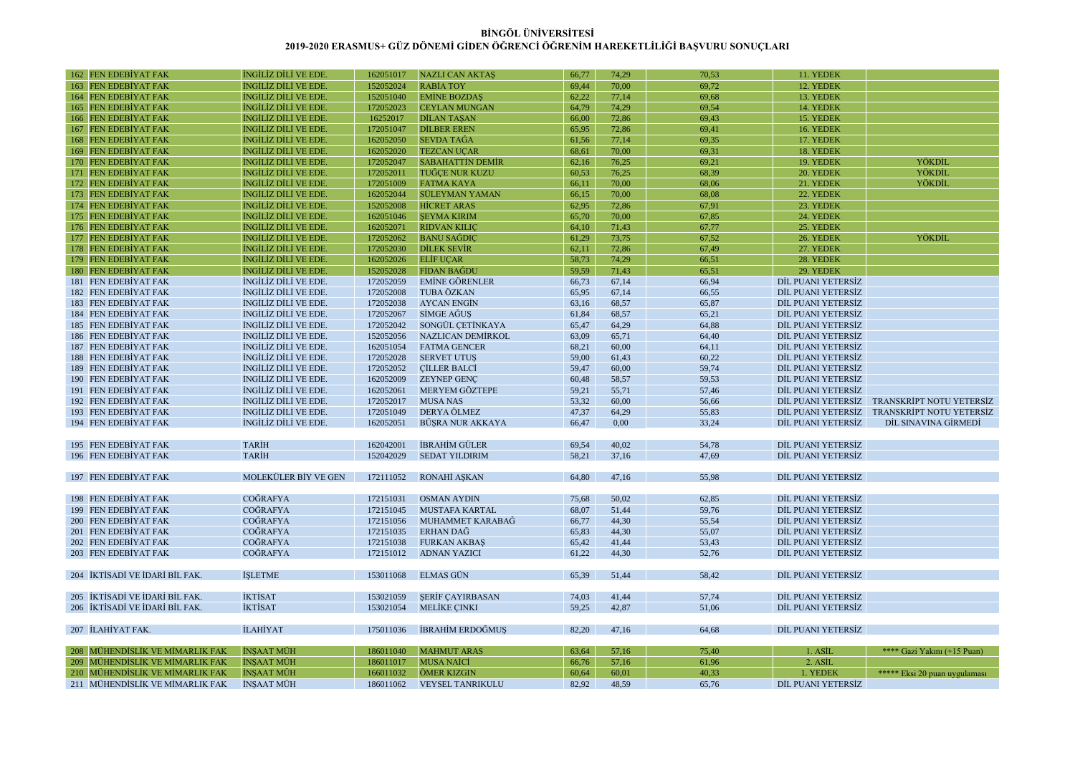| 162 FEN EDEBİYAT FAK            | INGILIZ DILI VE EDE         | 162051017 | <b>NAZLI CAN AKTAS</b>  | 66,77 | 74,29 | 70,53 | 11. YEDEK          |                               |
|---------------------------------|-----------------------------|-----------|-------------------------|-------|-------|-------|--------------------|-------------------------------|
| 163 FEN EDEBIYAT FAK            | <b>INGILIZ DILI VE EDE</b>  | 152052024 | <b>RABIA TOY</b>        | 69,44 | 70,00 | 69,72 | 12. YEDEK          |                               |
| <b>164 FEN EDEBİYAT FAK</b>     | <b>INGILIZ DILI VE EDE</b>  | 152051040 | <b>EMİNE BOZDAS</b>     | 62.22 | 77,14 | 69,68 | 13. YEDEK          |                               |
| 165 FEN EDEBİYAT FAK            | INGILIZ DILI VE EDE         | 172052023 | <b>CEYLAN MUNGAN</b>    | 64,79 | 74,29 | 69,54 | 14. YEDEK          |                               |
| 166 FEN EDEBİYAT FAK            | INGILIZ DILI VE EDE         | 16252017  | <b>DİLAN TASAN</b>      | 66,00 | 72,86 | 69,43 | 15. YEDEK          |                               |
| <b>167 FEN EDEBİYAT FAK</b>     | <b>INGILIZ DILI VE EDE</b>  | 172051047 | <b>DİLBER EREN</b>      | 65,95 | 72,86 | 69,41 | 16. YEDEK          |                               |
| 168 FEN EDEBIYAT FAK            | INGILIZ DILI VE EDE         | 162052050 | <b>SEVDA TAGA</b>       | 61,56 | 77,14 | 69,35 | 17. YEDEK          |                               |
| 169 FEN EDEBİYAT FAK            | <b>INGILIZ DILI VE EDE</b>  | 162052020 | <b>TEZCAN UÇAR</b>      | 68,61 | 70,00 | 69,31 | 18. YEDEK          |                               |
| 170 FEN EDEBİYAT FAK            | <b>INGILIZ DILI VE EDE</b>  | 172052047 | <b>SABAHATTİN DEMİR</b> | 62,16 | 76,25 | 69,21 | 19. YEDEK          | YÖKDİL                        |
| 171 FEN EDEBİYAT FAK            | <b>INGILIZ DILI VE EDE</b>  | 172052011 | <b>TUĞCE NUR KUZU</b>   | 60.53 | 76.25 | 68.39 | 20. YEDEK          | YÖKDİI                        |
| 172 FEN EDEBİYAT FAK            | <b>INGILIZ DILI VE EDE</b>  | 172051009 | <b>FATMA KAYA</b>       | 66,11 | 70,00 | 68,06 | 21. YEDEK          | YÖKDİL                        |
|                                 |                             |           |                         |       |       |       |                    |                               |
| 173 FEN EDEBİYAT FAK            | INGILIZ DILI VE EDE         | 162052044 | <b>SÜLEYMAN YAMAN</b>   | 66,15 | 70,00 | 68,08 | 22. YEDEK          |                               |
| 174 FEN EDEBİYAT FAK            | <b>INGILIZ DILI VE EDE</b>  | 152052008 | <b>HİCRET ARAS</b>      | 62,95 | 72,86 | 67,91 | 23. YEDEK          |                               |
| 175 FEN EDEBIYAT FAK            | INGILIZ DILI VE EDE         | 162051046 | <b>SEYMA KIRIM</b>      | 65,70 | 70,00 | 67,85 | 24. YEDEK          |                               |
| 176 FEN EDEBİYAT FAK            | INGILIZ DILI VE EDE         | 162052071 | <b>RIDVAN KILIC</b>     | 64,10 | 71,43 | 67,77 | 25. YEDEK          |                               |
| 177 FEN EDEBIYAT FAK            | <b>INGILIZ DILI VE EDE</b>  | 172052062 | <b>BANU SAĞDIC</b>      | 61,29 | 73,75 | 67,52 | 26. YEDEK          | YÖKDİL                        |
| 178 FEN EDEBIYAT FAK            | INGILIZ DILI VE EDE         | 172052030 | <b>DILEK SEVIR</b>      | 62,11 | 72,86 | 67,49 | 27. YEDEK          |                               |
| 179 FEN EDEBİYAT FAK            | <b>INGILIZ DILI VE EDE</b>  | 162052026 | <b>ELİF UÇAR</b>        | 58,73 | 74,29 | 66,51 | 28. YEDEK          |                               |
| 180 FEN EDEBİYAT FAK            | <b>INGILIZ DILI VE EDE</b>  | 152052028 | <b>FİDAN BAĞDU</b>      | 59,59 | 71,43 | 65,51 | 29. YEDEK          |                               |
| 181 FEN EDEBIYAT FAK            | INGILIZ DILI VE EDE         | 172052059 | <b>EMİNE GÖRENLER</b>   | 66,73 | 67,14 | 66,94 | DİL PUANI YETERSİZ |                               |
| 182 FEN EDEBİYAT FAK            | <b>INGILIZ DILI VE EDE.</b> | 172052008 | TUBA ÖZKAN              | 65,95 | 67,14 | 66.55 | DİL PUANI YETERSİZ |                               |
| 183 FEN EDEBIYAT FAK            | INGILIZ DILI VE EDE         | 172052038 | <b>AYCAN ENGIN</b>      | 63,16 | 68,57 | 65,87 | DIL PUANI YETERSIZ |                               |
| 184 FEN EDEBIYAT FAK            | INGILIZ DILI VE EDE         | 172052067 | SİMGE AĞUS              | 61,84 | 68,57 | 65,21 | DİL PUANI YETERSİZ |                               |
| 185 FEN EDEBIYAT FAK            | INGILIZ DILI VE EDE         | 172052042 | SONGÜL ÇETİNKAYA        | 65,47 | 64,29 | 64,88 | DİL PUANI YETERSİZ |                               |
| 186 FEN EDEBIYAT FAK            | INGILIZ DILI VE EDE         | 152052056 | NAZLICAN DEMIRKOL       | 63,09 | 65,71 | 64,40 | DIL PUANI YETERSIZ |                               |
| 187 FEN EDEBIYAT FAK            | INGILIZ DILI VE EDE.        | 162051054 | <b>FATMA GENCER</b>     | 68,21 | 60,00 | 64,11 | DİL PUANI YETERSİZ |                               |
| 188 FEN EDEBİYAT FAK            | INGILIZ DILI VE EDE.        | 172052028 | <b>SERVET UTUS</b>      | 59,00 | 61,43 | 60,22 | DİL PUANI YETERSİZ |                               |
| 189 FEN EDEBİYAT FAK            | INGILIZ DILI VE EDE.        | 172052052 | <b>CİLLER BALCİ</b>     | 59,47 | 60,00 | 59,74 | DİL PUANI YETERSİZ |                               |
| 190 FEN EDEBİYAT FAK            | INGILIZ DILI VE EDE         | 162052009 | <b>ZEYNEP GENC</b>      | 60,48 | 58,57 | 59,53 | DİL PUANI YETERSİZ |                               |
| 191 FEN EDEBIYAT FAK            | INGILIZ DILI VE EDE         | 162052061 | MERYEM GÖZTEPE          | 59,21 | 55,71 | 57,46 | DİL PUANI YETERSİZ |                               |
| 192 FEN EDEBİYAT FAK            | INGILIZ DILI VE EDE.        | 172052017 | <b>MUSA NAS</b>         | 53,32 | 60,00 | 56,66 | DİL PUANI YETERSİZ | TRANSKRİPT NOTU YETERSİZ      |
| 193 FEN EDEBİYAT FAK            | INGILIZ DILI VE EDE         | 172051049 | DERYA ÖLMEZ             | 47,37 | 64,29 | 55,83 | DİL PUANI YETERSİZ | TRANSKRİPT NOTU YETERSİZ      |
| 194 FEN EDEBİYAT FAK            | INGILIZ DILI VE EDE.        | 162052051 | BÜŞRA NUR AKKAYA        | 66,47 | 0,00  | 33,24 | DİL PUANI YETERSİZ | DIL SINAVINA GİRMEDI          |
|                                 |                             |           |                         |       |       |       |                    |                               |
| 195 FEN EDEBIYAT FAK            | <b>TARİH</b>                | 162042001 | <b>IBRAHIM GÜLER</b>    | 69,54 | 40,02 | 54,78 | DIL PUANI YETERSIZ |                               |
| 196 FEN EDEBIYAT FAK            | <b>TARİH</b>                | 152042029 |                         | 58,21 | 37,16 | 47,69 | DİL PUANI YETERSİZ |                               |
|                                 |                             |           | <b>SEDAT YILDIRIM</b>   |       |       |       |                    |                               |
|                                 |                             |           |                         |       |       |       |                    |                               |
| 197 FEN EDEBİYAT FAK            | MOLEKÜLER BİY VE GEN        | 172111052 | RONAHİ AŞKAN            | 64,80 | 47,16 | 55,98 | DİL PUANI YETERSİZ |                               |
|                                 |                             |           |                         |       |       |       |                    |                               |
| 198 FEN EDEBIYAT FAK            | <b>COĞRAFYA</b>             | 172151031 | <b>OSMAN AYDIN</b>      | 75,68 | 50,02 | 62,85 | DİL PUANI YETERSİZ |                               |
| 199 FEN EDEBİYAT FAK            | <b>COĞRAFYA</b>             | 172151045 | <b>MUSTAFA KARTAL</b>   | 68,07 | 51,44 | 59,76 | DİL PUANI YETERSİZ |                               |
| 200 FEN EDEBIYAT FAK            | <b>COĞRAFYA</b>             | 172151056 | MUHAMMET KARABAĞ        | 66,77 | 44,30 | 55,54 | DİL PUANI YETERSİZ |                               |
| 201 FEN EDEBIYAT FAK            | <b>COĞRAFYA</b>             | 172151035 | ERHAN DAĞ               | 65,83 | 44,30 | 55,07 | DİL PUANI YETERSİZ |                               |
| 202 FEN EDEBIYAT FAK            | <b>COĞRAFYA</b>             | 172151038 | <b>FURKAN AKBAŞ</b>     | 65,42 | 41,44 | 53,43 | DİL PUANI YETERSİZ |                               |
| 203 FEN EDEBIYAT FAK            | <b>COGRAFYA</b>             | 172151012 | <b>ADNAN YAZICI</b>     | 61,22 | 44,30 | 52,76 | DİL PUANI YETERSİZ |                               |
|                                 |                             |           |                         |       |       |       |                    |                               |
| 204 İKTİSADİ VE İDARİ BİL FAK.  | <b>İSLETME</b>              | 153011068 | <b>ELMAS GÜN</b>        | 65,39 | 51,44 | 58,42 | DİL PUANI YETERSİZ |                               |
|                                 |                             |           |                         |       |       |       |                    |                               |
| 205 İKTİSADİ VE İDARİ BİL FAK.  | <b>İKTİSAT</b>              | 153021059 | <b>SERIF CAYIRBASAN</b> | 74,03 | 41,44 | 57,74 | DİL PUANI YETERSİZ |                               |
| 206 İKTİSADİ VE İDARİ BİL FAK.  | <b>İKTİSAT</b>              | 153021054 | <b>MELİKE CINKI</b>     | 59,25 | 42,87 | 51,06 | DİL PUANI YETERSİZ |                               |
|                                 |                             |           |                         |       |       |       |                    |                               |
| 207 İLAHİYAT FAK.               | <b>İLAHİYAT</b>             | 175011036 | İBRAHİM ERDOĞMUŞ        | 82,20 | 47,16 | 64,68 | DİL PUANI YETERSİZ |                               |
|                                 |                             |           |                         |       |       |       |                    |                               |
| 208 MÜHENDISLIK VE MİMARLIK FAK | <b>INSAAT MÜH</b>           | 186011040 | <b>MAHMUT ARAS</b>      | 63,64 | 57,16 | 75,40 | 1. ASIL            | **** Gazi Yakını (+15 Puan)   |
| 209 MÜHENDİSLİK VE MİMARLIK FAK | <b>İNŞAAT MÜH</b>           | 186011017 | <b>MUSA NAİCİ</b>       | 66,76 | 57,16 | 61,96 | 2. ASIL            |                               |
| 210 MÜHENDİSLİK VE MİMARLIK FAK | <b>İNSAAT MÜH</b>           | 166011032 | ÖMER KIZGIN             | 60,64 | 60,01 | 40,33 | 1. YEDEK           | ***** Eksi 20 puan uygulaması |
| 211 MÜHENDİSLİK VE MİMARLIK FAK | <b>İNŞAAT MÜH</b>           | 186011062 | VEYSEL TANRIKULU        | 82.92 | 48,59 | 65,76 | DİL PUANI YETERSİZ |                               |
|                                 |                             |           |                         |       |       |       |                    |                               |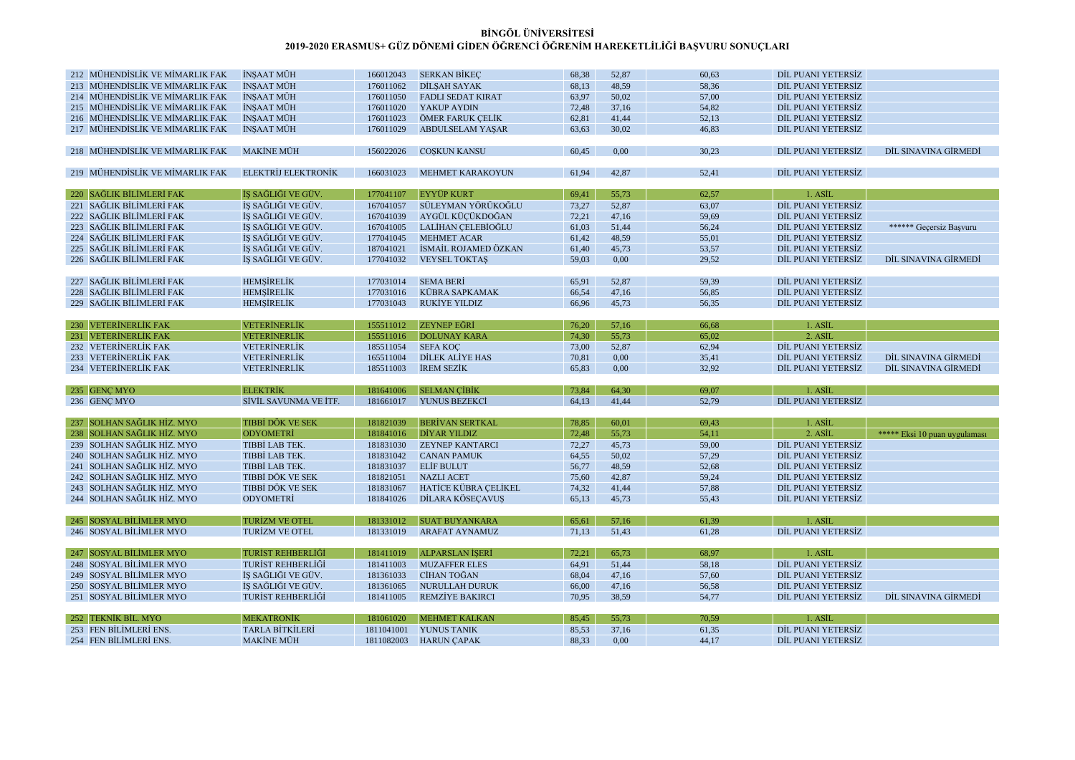| 212 MÜHENDİSLİK VE MİMARLIK FAK | <b>İNŞAAT MÜH</b>          | 166012043  | <b>SERKAN BİKEÇ</b>      | 68,38 | 52,87         | 60,63 | DİL PUANI YETERSİZ                       |                               |
|---------------------------------|----------------------------|------------|--------------------------|-------|---------------|-------|------------------------------------------|-------------------------------|
| 213 MÜHENDISLIK VE MİMARLIK FAK | <b>İNSAAT MÜH</b>          | 176011062  | DILSAH SAYAK             | 68,13 | 48,59         | 58,36 | DİL PUANI YETERSİZ                       |                               |
| 214 MÜHENDİSLİK VE MİMARLIK FAK | İNŞAAT MÜH                 | 176011050  | <b>FADLI SEDAT KIRAT</b> | 63,97 | 50,02         | 57,00 | DİL PUANI YETERSİZ                       |                               |
| 215 MÜHENDİSLİK VE MİMARLIK FAK | İNŞAAT MÜH                 | 176011020  | YAKUP AYDIN              | 72,48 | 37,16         | 54,82 | DİL PUANI YETERSİZ                       |                               |
| 216 MÜHENDİSLİK VE MİMARLIK FAK | İNŞAAT MÜH                 | 176011023  | ÖMER FARUK ÇELİK         | 62,81 | 41,44         | 52,13 | DİL PUANI YETERSİZ                       |                               |
| 217 MÜHENDİSLİK VE MİMARLIK FAK | <b>INSAAT MÜH</b>          | 176011029  | <b>ABDULSELAM YAŞAR</b>  | 63,63 | 30,02         | 46,83 | DİL PUANI YETERSİZ                       |                               |
|                                 |                            |            |                          |       |               |       |                                          |                               |
| 218 MÜHENDİSLİK VE MİMARLIK FAK | <b>MAKİNE MÜH</b>          | 156022026  | <b>COSKUN KANSU</b>      | 60,45 | 0,00          | 30,23 | DİL PUANI YETERSİZ                       | DİL SINAVINA GİRMEDİ          |
|                                 |                            |            |                          |       |               |       |                                          |                               |
| 219 MÜHENDİSLİK VE MİMARLIK FAK | <b>ELEKTRİJ ELEKTRONİK</b> | 166031023  | <b>MEHMET KARAKOYUN</b>  | 61,94 | 42,87         | 52,41 | DİL PUANI YETERSİZ                       |                               |
|                                 |                            |            |                          |       |               |       |                                          |                               |
| 220 SAĞLIK BİLİMLERİ FAK        | İŞ SAĞLIĞI VE GÜV          | 177041107  | <b>EYYÜP KURT</b>        | 69,41 | 55,73         | 62,57 | 1. ASİL                                  |                               |
| 221 SAĞLIK BİLİMLERİ FAK        | İŞ SAĞLIĞI VE GÜV          | 167041057  | SÜLEYMAN YÖRÜKOĞLU       | 73,27 | 52,87         | 63,07 | DİL PUANI YETERSİZ                       |                               |
| 222 SAĞLIK BİLİMLERİ FAK        | İŞ SAĞLIĞI VE GÜV.         | 167041039  | AYGÜL KÜÇÜKDOĞAN         | 72,21 | 47,16         | 59,69 | DİL PUANI YETERSİZ                       |                               |
| 223 SAĞLIK BİLİMLERİ FAK        | İS SAĞLIĞI VE GÜV.         | 167041005  | LALİHAN CELEBİOĞLU       | 61,03 | 51,44         | 56,24 | DİL PUANI YETERSİZ                       | ****** Geçersiz Başvuru       |
| 224 SAĞLIK BİLİMLERİ FAK        | İŞ SAĞLIĞI VE GÜV.         | 177041045  | <b>MEHMET ACAR</b>       | 61,42 | 48,59         | 55,01 | DİL PUANI YETERSİZ                       |                               |
| 225 SAĞLIK BİLİMLERİ FAK        | İS SAĞLIĞI VE GÜV.         | 187041021  | İSMAİL ROJAMED ÖZKAN     | 61,40 | 45,73         | 53,57 | DİL PUANI YETERSİZ                       |                               |
| 226 SAĞLIK BİLİMLERİ FAK        | İS SAĞLIĞI VE GÜV          | 177041032  | <b>VEYSEL TOKTAS</b>     | 59,03 | 0,00          | 29,52 | DİL PUANI YETERSİZ                       | DİL SINAVINA GİRMEDİ          |
|                                 |                            |            |                          |       |               |       |                                          |                               |
| 227 SAĞLIK BİLİMLERİ FAK        | <b>HEMSIRELIK</b>          | 177031014  | <b>SEMA BERI</b>         | 65,91 | 52,87         | 59,39 | DİL PUANI YETERSİZ                       |                               |
| 228 SAĞLIK BİLİMLERİ FAK        | <b>HEMSİRELİK</b>          | 177031016  | <b>KÜBRA SAPKAMAK</b>    | 66,54 | 47,16         | 56,85 | DİL PUANI YETERSİZ                       |                               |
| 229 SAĞLIK BİLİMLERİ FAK        | <b>HEMSİRELİK</b>          | 177031043  | RUKİYE YILDIZ            | 66,96 | 45,73         | 56,35 | DİL PUANI YETERSİZ                       |                               |
|                                 |                            |            |                          |       |               |       |                                          |                               |
| 230 VETERİNERLİK FAK            | <b>VETERINERLIK</b>        | 155511012  | <b>ZEYNEP EĞRİ</b>       | 76,20 | 57,16         | 66,68 | 1. ASIL                                  |                               |
| 231 VETERİNERLİK FAK            | <b>VETERINERLIK</b>        | 155511016  | <b>DOLUNAY KARA</b>      | 74,30 | 55,73         | 65,02 | 2. ASİL                                  |                               |
| 232 VETERİNERLİK FAK            | <b>VETERINERLIK</b>        | 185511054  | <b>SEFA KOC</b>          | 73,00 | 52,87<br>0,00 | 62,94 | DİL PUANI YETERSİZ<br>DİL PUANI YETERSİZ | DİL SINAVINA GİRMEDİ          |
|                                 |                            |            |                          |       |               |       |                                          |                               |
| 233 VETERİNERLİK FAK            | VETERİNERLİK               | 165511004  | <b>DİLEK ALİYE HAS</b>   | 70,81 |               | 35,41 |                                          |                               |
| 234 VETERINERLIK FAK            | VETERINERLIK               | 185511003  | <b>IREM SEZIK</b>        | 65,83 | 0,00          | 32,92 | DIL PUANI YETERSİZ                       | DIL SINAVINA GIRMEDI          |
|                                 |                            |            |                          |       |               |       |                                          |                               |
| 235 GENC MYO                    | <b>ELEKTRİK</b>            | 181641006  | <b>SELMAN CIBIK</b>      | 73,84 | 64,30         | 69,07 | 1. ASİL                                  |                               |
| 236 GENÇ MYO                    | SİVİL SAVUNMA VE İTF.      | 181661017  | YUNUS BEZEKCİ            | 64,13 | 41,44         | 52,79 | DİL PUANI YETERSİZ                       |                               |
|                                 |                            |            |                          |       |               |       |                                          |                               |
| 237 SOLHAN SAĞLIK HİZ. MYO      | TIBBİ DÖK VE SEK           | 181821039  | <b>BERİVAN SERTKAL</b>   | 78,85 | 60,01         | 69,43 | 1. ASIL                                  |                               |
| 238 SOLHAN SAĞLIK HİZ. MYO      | <b>ODYOMETRİ</b>           | 181841016  | <b>DİYAR YILDIZ</b>      | 72,48 | 55,73         | 54,11 | 2. ASIL                                  | ***** Eksi 10 puan uygulaması |
| 239 SOLHAN SAĞLIK HİZ. MYO      | TIBBİ LAB TEK.             | 181831030  | <b>ZEYNEP KANTARCI</b>   | 72,27 | 45,73         | 59,00 | DİL PUANI YETERSİZ                       |                               |
| 240 SOLHAN SAĞLIK HİZ. MYO      | TIBBİ LAB TEK.             | 181831042  | <b>CANAN PAMUK</b>       | 64,55 | 50,02         | 57,29 | DİL PUANI YETERSİZ                       |                               |
| 241 SOLHAN SAĞLIK HİZ. MYO      | TIBBİ LAB TEK.             | 181831037  | <b>ELIF BULUT</b>        | 56,77 | 48,59         | 52,68 | DİL PUANI YETERSİZ                       |                               |
| 242 SOLHAN SAĞLIK HİZ. MYO      | TIBBİ DÖK VE SEK           | 181821051  | <b>NAZLI ACET</b>        | 75,60 | 42,87         | 59,24 | DİL PUANI YETERSİZ                       |                               |
| 243 SOLHAN SAĞLIK HİZ. MYO      | TIBBİ DÖK VE SEK           | 181831067  | HATİCE KÜBRA ÇELİKEL     | 74,32 | 41,44         | 57,88 | DIL PUANI YETERSİZ                       |                               |
| 244 SOLHAN SAĞLIK HİZ. MYO      | <b>ODYOMETRİ</b>           | 181841026  | DİLARA KÖSEÇAVUŞ         | 65,13 | 45,73         | 55,43 | DİL PUANI YETERSİZ                       |                               |
|                                 |                            | 181331012  |                          |       |               |       | 1. ASIL                                  |                               |
| 245 SOSYAL BİLİMLER MYO         | <b>TURİZM VE OTEL</b>      |            | <b>SUAT BUYANKARA</b>    | 65,61 | 57,16         | 61,39 | DİL PUANI YETERSİZ                       |                               |
| 246 SOSYAL BİLİMLER MYO         | <b>TURİZM VE OTEL</b>      | 181331019  | <b>ARAFAT AYNAMUZ</b>    | 71,13 | 51,43         | 61,28 |                                          |                               |
| 247 SOSYAL BİLİMLER MYO         | TURİST REHBERLİĞİ          | 181411019  | <b>ALPARSLAN İSERİ</b>   | 72,21 | 65,73         | 68,97 | 1. ASIL                                  |                               |
| 248 SOSYAL BİLİMLER MYO         | TURİST REHBERLİĞİ          | 181411003  | <b>MUZAFFER ELES</b>     | 64,91 | 51,44         | 58,18 | DİL PUANI YETERSİZ                       |                               |
| 249 SOSYAL BİLİMLER MYO         | İS SAĞLIĞI VE GÜV.         | 181361033  | CİHAN TOĞAN              | 68,04 | 47,16         | 57,60 | DİL PUANI YETERSİZ                       |                               |
| 250 SOSYAL BİLİMLER MYO         | İS SAĞLIĞI VE GÜV.         | 181361065  | <b>NURULLAH DURUK</b>    | 66,00 | 47,16         | 56,58 | DİL PUANI YETERSİZ                       |                               |
| 251 SOSYAL BİLİMLER MYO         | TURİST REHBERLİĞİ          | 181411005  | <b>REMZİYE BAKIRCI</b>   | 70,95 | 38,59         | 54,77 | DİL PUANI YETERSİZ                       | DİL SINAVINA GİRMEDİ          |
|                                 |                            |            |                          |       |               |       |                                          |                               |
| 252 TEKNIK BIL. MYO             | <b>MEKATRONIK</b>          | 181061020  | <b>MEHMET KALKAN</b>     | 85,45 | 55,73         | 70,59 | 1. ASIL                                  |                               |
| 253 FEN BİLİMLERİ ENS.          | <b>TARLA BİTKİLERİ</b>     | 1811041001 | YUNUS TANIK              | 85,53 | 37,16         | 61,35 | DİL PUANI YETERSİZ                       |                               |
| 254 FEN BİLİMLERİ ENS.          | <b>MAKİNE MÜH</b>          | 1811082003 | <b>HARUN CAPAK</b>       | 88.33 | 0,00          | 44,17 | DİL PUANI YETERSİZ                       |                               |